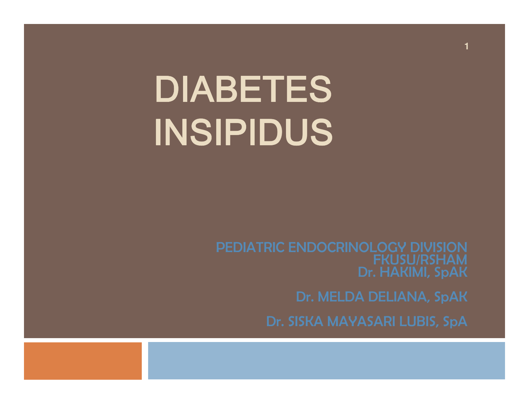# DIABETES INSIPIDUS

FKUSU/RSHAM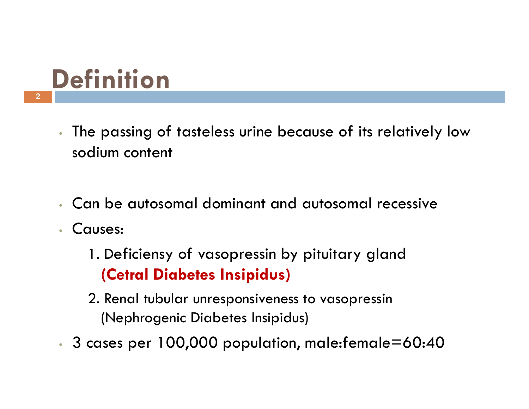## **Definition**

- • The passing of tasteless urine because of its relatively low sodium content
- •Can be autosomal dominant and autosomal recessive
- • Causes:
	- 1. Deficiensy of vasopressin by pituitary gland (Cetral Diabetes Insipidus)
	- 2. Renal tubular unresponsiveness to vasopressin (Nephrogenic Diabetes Insipidus)
- • $\cdot$  3 cases per 100,000 population, male:female=60:40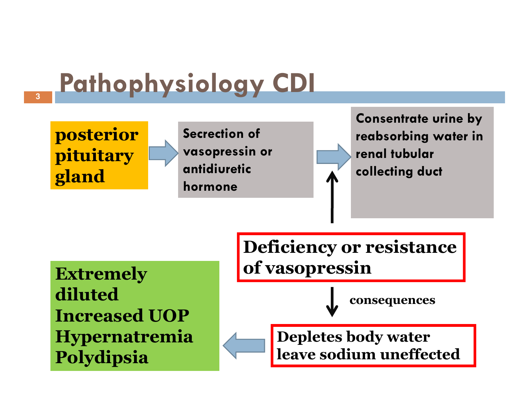#### Pathophysiology CDI**3**posterior pituitary glandSecrection of vasopressin or antidiuretichormoneConsentrate urine by reabsorbing water in renal tubular collecting ductDeficiency or resistanceof vasopressinExtremely

diluted Increased UOP Hypernatremia Polydipsia

consequences

Depletes body water leave sodium uneffected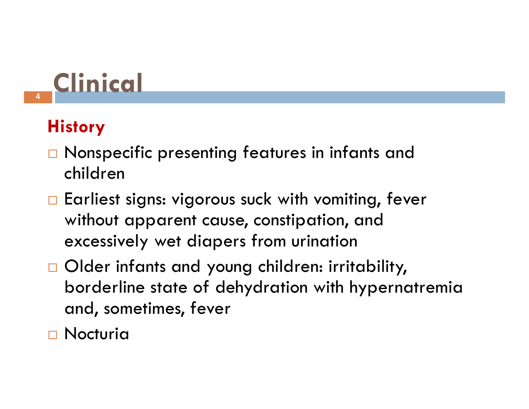

### **History**

- $\Box$  Nonspecific presenting features in infants and children
- $\Box$  Earliest signs: vigorous suck with vomiting, fever without apparent cause, constipation, and excessively wet diapers from urination
- Older infants and young children: irritability, borderline state of dehydration with hypernatremia and, sometimes, fever
- <mark>□ Nocturia</mark>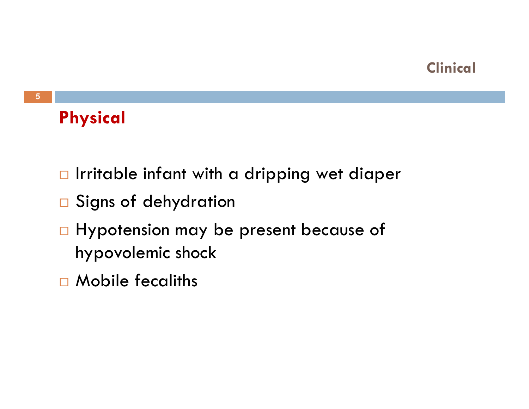#### **Clinical**

### Physical

- $\Box$  Irritable infant with a dripping wet diaper
- $\square$  Signs of dehydration
- □ Hypotension may be present because of hypovolemic shock
- <mark>□</mark> Mobile fecaliths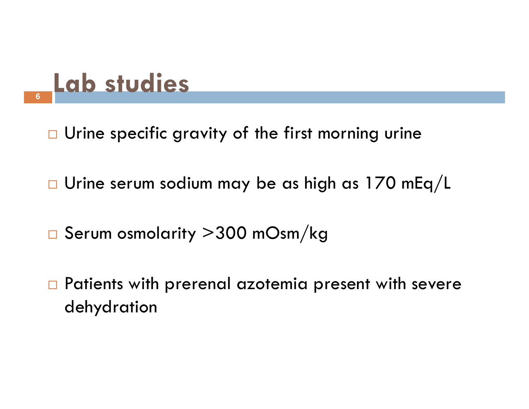## Lab studies

- $\Box$  Urine specific gravity of the first morning urine
- $\Box$  $\Box$  Urine serum sodium may be as high as 170 mEq/L
- $\Box$  $\Box$  Serum osmolarity  $\geq$ 300 mOsm $/\mathrm{kg}$
- $\Box$  Patients with prerenal azotemia present with severe dehydration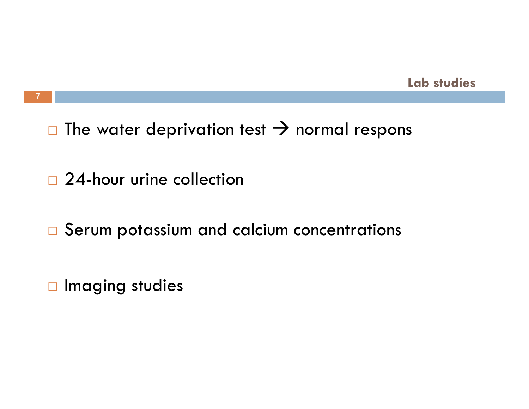#### Lab studies

#### $\Box$  $\Box$  The water deprivation test  $\rightarrow$  normal respons

□ 24-hour urine collection

 $\Box$  Serum potassium and calcium concentrations

 $\Box$  Imaging studies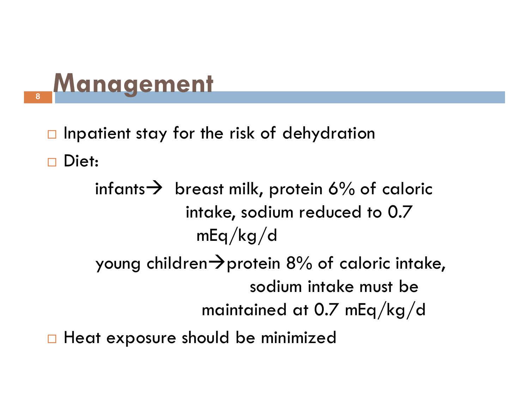## Management **8**

 $\Box$ Inpatient stay for the risk of dehydration

 $\Box$ Diet:

> $\text{infants}$  breast milk, protein 6% of caloric<br>intake sodium reduced to 0.7 intake, sodium reduced to 0.7 mEq/kg/d

- young children-protein 8% of caloric intake, sodium intake must be maintained at 0.7 mEq/kg/d
- $\Box$ Heat exposure should be minimized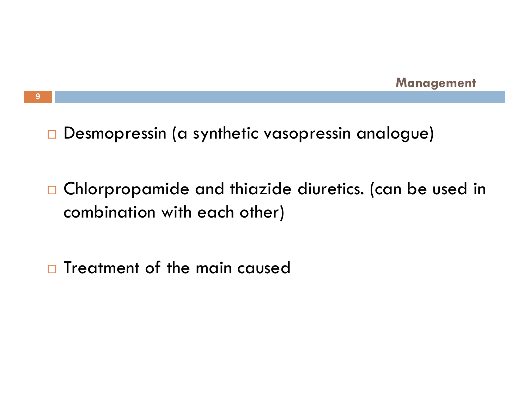$\Box$ Desmopressin (a synthetic vasopressin analogue)

 $\Box$  Chlorpropamide and thiazide diuretics. (can be used in combination with each other)

 $\Box$ Treatment of the main caused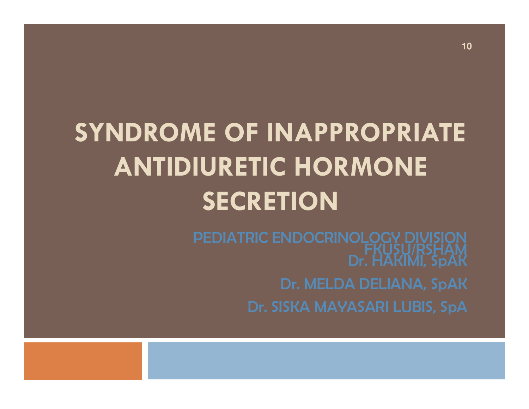## SYNDROME OF INAPPROPRIATE ANTIDIURETIC HORMONE **SECRETION**

FKUSU/RSHAM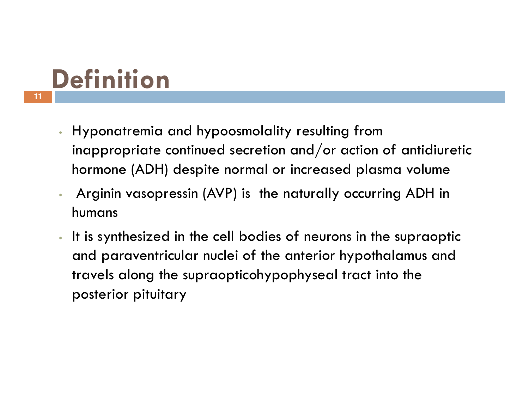## **Definition**

- • Hyponatremia and hypoosmolality resulting from inappropriate continued secretion and/or action of antidiuretichormone (ADH) despite normal or increased plasma volume
- • Arginin vasopressin (AVP) is the naturally occurring ADH in humans
- • It is synthesized in the cell bodies of neurons in the supraopticand paraventricular nuclei of the anterior hypothalamus and travels along the supraopticohypophyseal tract into the posterior pituitary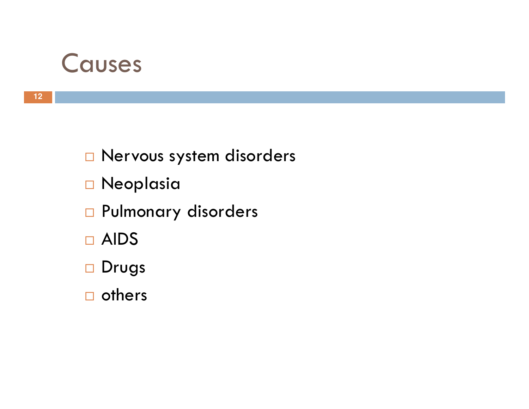### Causes

 $\square$  Nervous system disorders

- <mark>□ Neoplasia</mark>
- <mark>□</mark> Pulmonary disorders
- □ AIDS
- <mark>□ Drug</mark>s
- $\square$  others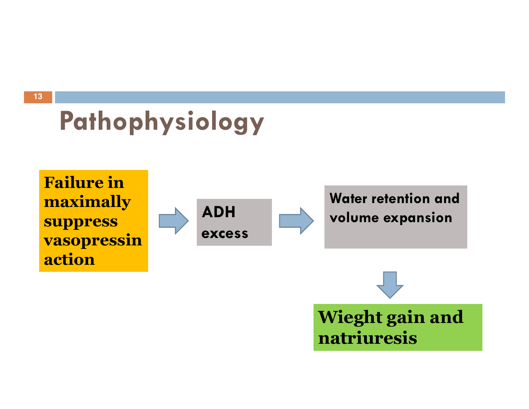**13**

## Pathophysiology

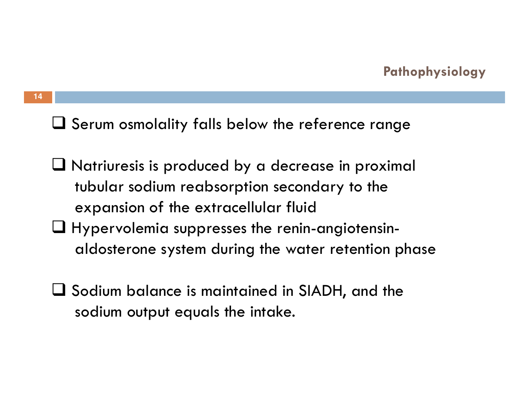**14**

 $\square$  Serum osmolality falls below the reference range

- $\Box$  Natriuresis is produced by a decrease in proximal  $\Box$ tubular sodium reabsorption secondary to the expansion of the extracellular fluid
- $\Box$  Hypervolemia suppresses the renin-angiotensin-<br>aldosterone system during the water retention r aldosterone system during the water retention phase
- $\square$  Sodium balance is maintained in SIADH, and the sodium output equals the intake.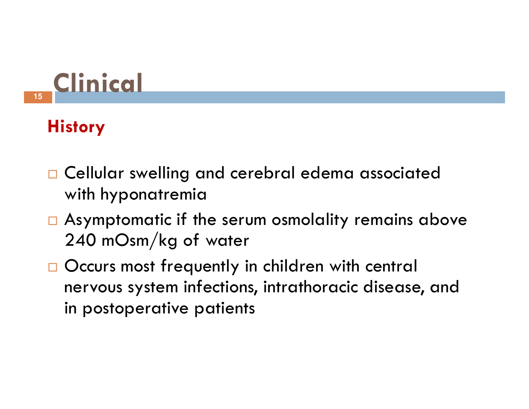

### **History**

- **Q** Cellular swelling and cerebral edema associated with hyponatremia
- $\Box$  Asymptomatic if the serum osmolality remains above 240 mOsm/kg of water
- Occurs most frequently in children with central nervous system infections, intrathoracic disease, and in postoperative patients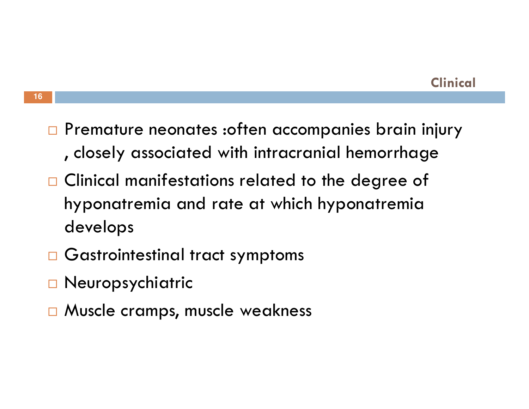- $\Box$  Premature neonates :often accompanies brain injury , closely associated with intracranial hemorrhage
- $\Box$  Clinical manifestations related to the degree of hyponatremia and rate at which hyponatremia develops
- $\Box$  Gastrointestinal tract symptoms
- <mark>□ Neuropsychiatric</mark>
- □ Muscle cramps, muscle weakness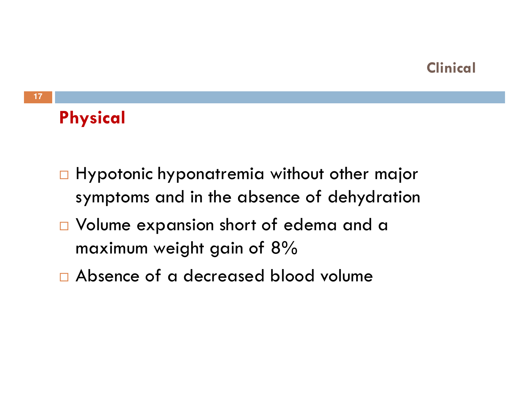#### **Clinical**

### Physical

- $\Box$  Hypotonic hyponatremia without other major symptoms and in the absence of dehydration
- $\square$  Volume expansion short of edema and a maximum weight gain of 8%
- $\Box$  Absence of a decreased blood volume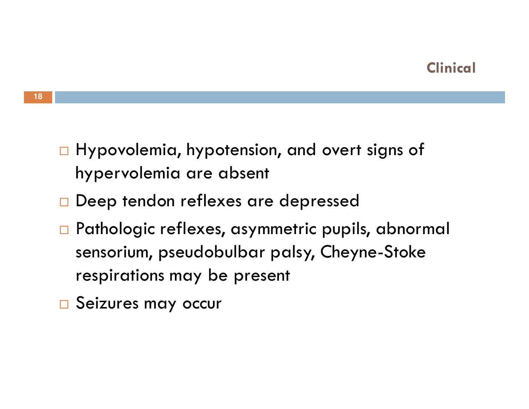- $\Box$  Hypovolemia, hypotension, and overt signs of hypervolemia are absent
- $\Box$  Deep tendon reflexes are depressed
- $\Box$  Pathologic reflexes, asymmetric pupils, abnormal sensorium, pseudobulbar palsy, Cheyne-Stoke respirations may be present
- □ Seizures may occur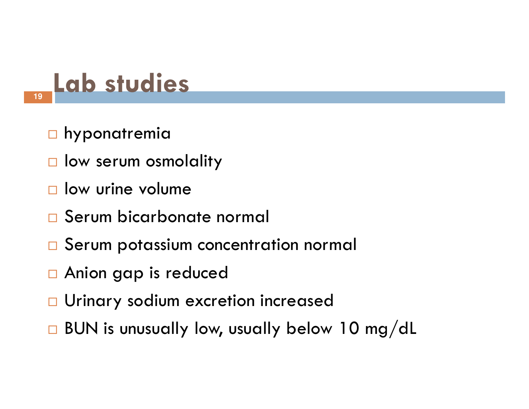## Lab studies

**□ hyponatremia** 

- $\square$  low serum osmolality
- $\square$  low urine volume
- <mark>□ Serum bicarbonate normal</mark>
- $\Box$ Serum potassium concentration normal
- □ Anion gap is reduced
- □ Urinary sodium excretion increased
- $\Box$  $\Box$  BUN is unusually low, usually below 10 mg/dL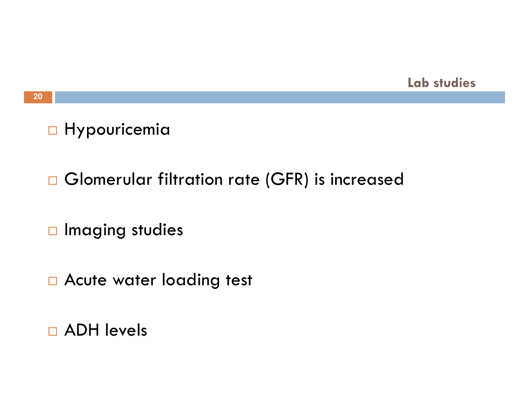

#### **20**

### □ Hypouricemia

### $\Box$  Glomerular filtration rate (GFR) is increased

 $\Box$  Imaging studies

 $\square$  Acute water loading test

<mark>□ ADH levels</mark>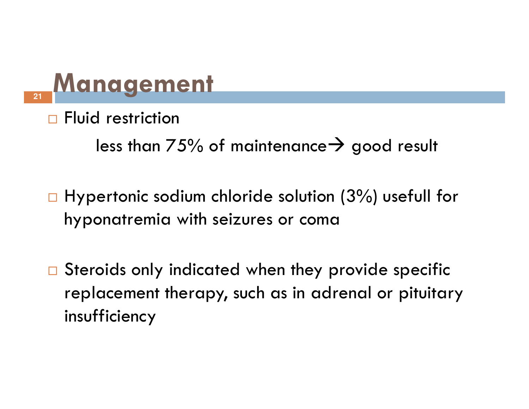## **Management**

 $\Box$ Fluid restriction

less than 75% of maintenance $\rightarrow$  good result

 $\Box$  Hypertonic sodium chloride solution (3%) usefull for hyponatremia with seizures or coma

 $\Box$  Steroids only indicated when they provide specific replacement therapy, such as in adrenal or pituitary insufficiency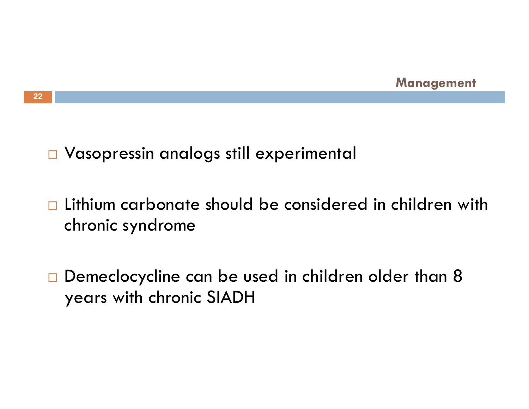

 $\overline{\Box}$  Vasopressin analogs still experimental

 $\Box$  Lithium carbonate should be considered in children with chronic syndrome

 $\Box$  Demeclocycline can be used in children older than 8 years with chronic SIADH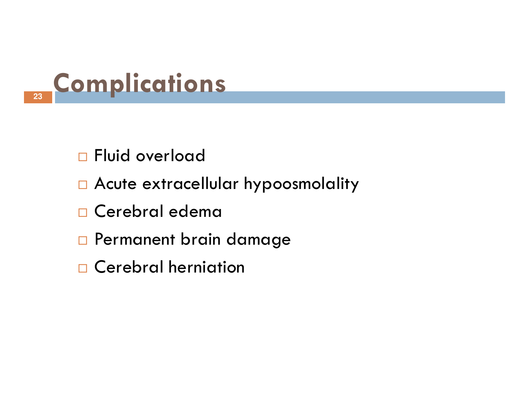

- □ Fluid overload
- $\Box$  Acute extracellular hypoosmolality
- <mark>□ Cerebral edema</mark>
- $\Box$  Permanent brain damage
- □ Cerebral herniation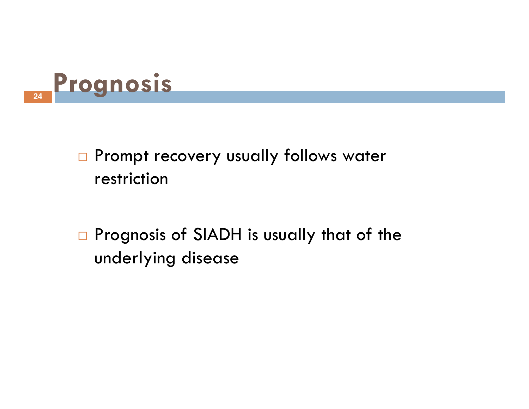

- $\square$  Prompt recovery usually follows water restriction
- $\Box$  Prognosis of SIADH is usually that of the underlying disease